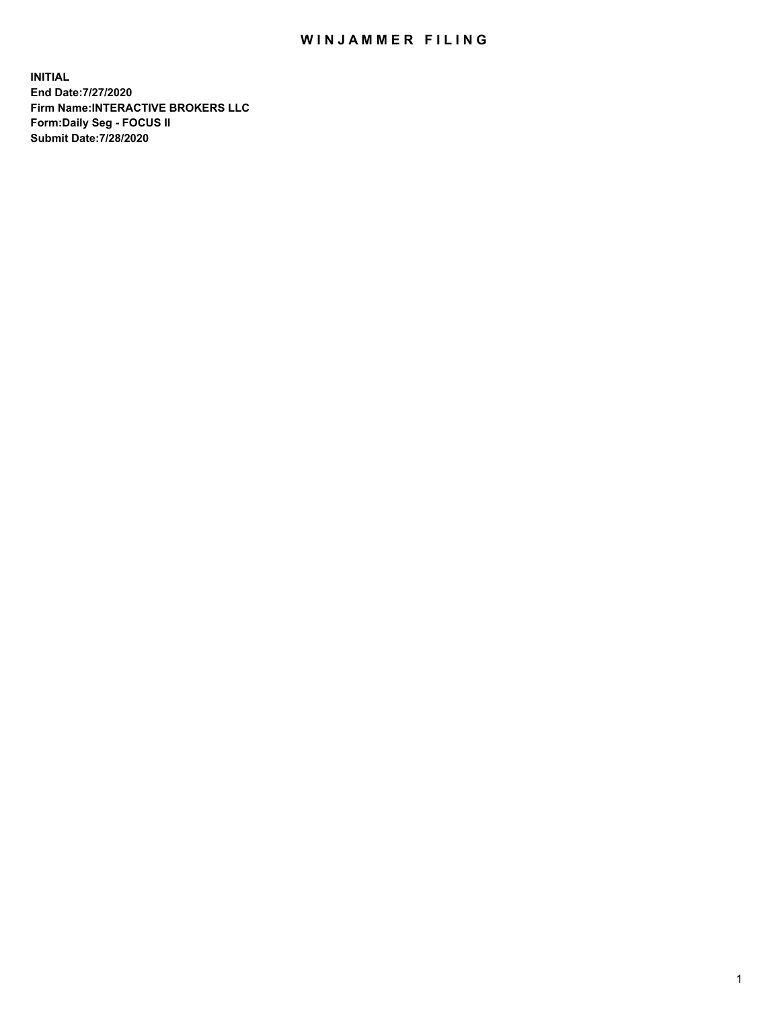## WIN JAMMER FILING

**INITIAL End Date:7/27/2020 Firm Name:INTERACTIVE BROKERS LLC Form:Daily Seg - FOCUS II Submit Date:7/28/2020**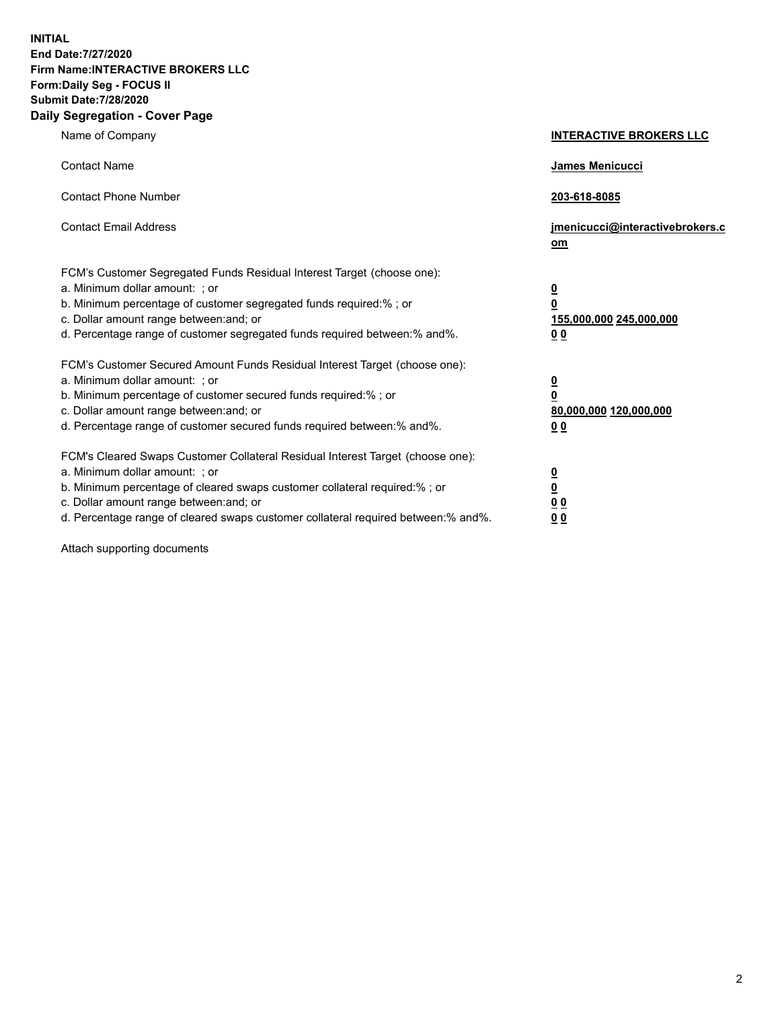**INITIAL End Date:7/27/2020 Firm Name:INTERACTIVE BROKERS LLC Form:Daily Seg - FOCUS II Submit Date:7/28/2020 Daily Segregation - Cover Page**

| Name of Company                                                                                                                                                                                                                                                                                                                | <b>INTERACTIVE BROKERS LLC</b>                                                                  |
|--------------------------------------------------------------------------------------------------------------------------------------------------------------------------------------------------------------------------------------------------------------------------------------------------------------------------------|-------------------------------------------------------------------------------------------------|
| <b>Contact Name</b>                                                                                                                                                                                                                                                                                                            | James Menicucci                                                                                 |
| <b>Contact Phone Number</b>                                                                                                                                                                                                                                                                                                    | 203-618-8085                                                                                    |
| <b>Contact Email Address</b>                                                                                                                                                                                                                                                                                                   | jmenicucci@interactivebrokers.c<br>om                                                           |
| FCM's Customer Segregated Funds Residual Interest Target (choose one):<br>a. Minimum dollar amount: ; or<br>b. Minimum percentage of customer segregated funds required:% ; or<br>c. Dollar amount range between: and; or<br>d. Percentage range of customer segregated funds required between:% and%.                         | $\overline{\mathbf{0}}$<br>$\overline{\mathbf{0}}$<br>155,000,000 245,000,000<br>0 <sub>0</sub> |
| FCM's Customer Secured Amount Funds Residual Interest Target (choose one):<br>a. Minimum dollar amount: ; or<br>b. Minimum percentage of customer secured funds required:% ; or<br>c. Dollar amount range between: and; or<br>d. Percentage range of customer secured funds required between:% and%.                           | $\overline{\mathbf{0}}$<br>0<br>80,000,000 120,000,000<br>0 <sub>0</sub>                        |
| FCM's Cleared Swaps Customer Collateral Residual Interest Target (choose one):<br>a. Minimum dollar amount: ; or<br>b. Minimum percentage of cleared swaps customer collateral required:% ; or<br>c. Dollar amount range between: and; or<br>d. Percentage range of cleared swaps customer collateral required between:% and%. | $\overline{\mathbf{0}}$<br><u>0</u><br>$\underline{0}$ $\underline{0}$<br>00                    |

Attach supporting documents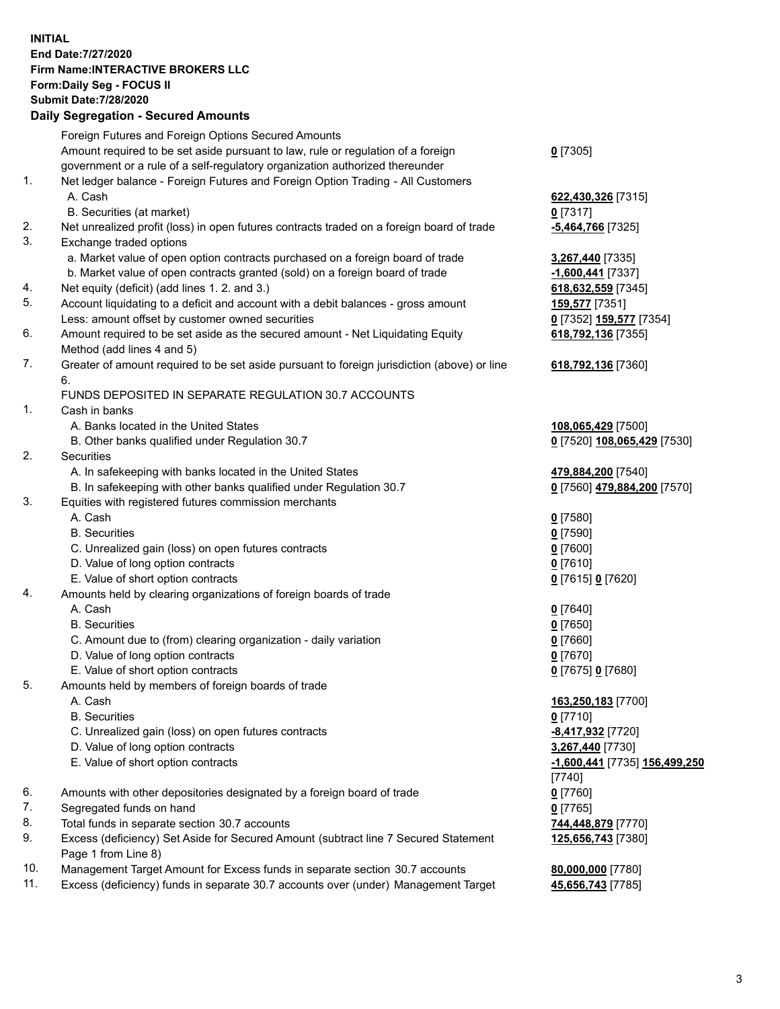**INITIAL End Date:7/27/2020 Firm Name:INTERACTIVE BROKERS LLC Form:Daily Seg - FOCUS II Submit Date:7/28/2020 Daily Segregation - Secured Amounts**

|                | $\frac{1}{2}$                                                                               |                                               |
|----------------|---------------------------------------------------------------------------------------------|-----------------------------------------------|
|                | Foreign Futures and Foreign Options Secured Amounts                                         |                                               |
|                | Amount required to be set aside pursuant to law, rule or regulation of a foreign            | $0$ [7305]                                    |
|                | government or a rule of a self-regulatory organization authorized thereunder                |                                               |
| $\mathbf{1}$ . | Net ledger balance - Foreign Futures and Foreign Option Trading - All Customers             |                                               |
|                | A. Cash                                                                                     | 622,430,326 [7315]                            |
|                | B. Securities (at market)                                                                   | $0$ [7317]                                    |
| 2.             | Net unrealized profit (loss) in open futures contracts traded on a foreign board of trade   | -5,464,766 <sup>[7325]</sup>                  |
| 3.             | Exchange traded options                                                                     |                                               |
|                | a. Market value of open option contracts purchased on a foreign board of trade              | 3,267,440 [7335]                              |
|                | b. Market value of open contracts granted (sold) on a foreign board of trade                | -1,600,441 [7337]                             |
| 4.             | Net equity (deficit) (add lines 1. 2. and 3.)                                               | 618,632,559 [7345]                            |
| 5.             | Account liquidating to a deficit and account with a debit balances - gross amount           | <b>159,577</b> [7351]                         |
|                | Less: amount offset by customer owned securities                                            | 0 <sup>[7352]</sup> 159,577 <sup>[7354]</sup> |
| 6.             | Amount required to be set aside as the secured amount - Net Liquidating Equity              | 618,792,136 [7355]                            |
|                | Method (add lines 4 and 5)                                                                  |                                               |
| 7.             | Greater of amount required to be set aside pursuant to foreign jurisdiction (above) or line | 618,792,136 [7360]                            |
|                | 6.                                                                                          |                                               |
|                | FUNDS DEPOSITED IN SEPARATE REGULATION 30.7 ACCOUNTS                                        |                                               |
| $\mathbf{1}$ . | Cash in banks                                                                               |                                               |
|                | A. Banks located in the United States                                                       | 108,065,429 [7500]                            |
|                | B. Other banks qualified under Regulation 30.7                                              | 0 [7520] 108,065,429 [7530]                   |
| 2.             | Securities                                                                                  |                                               |
|                | A. In safekeeping with banks located in the United States                                   | 479,884,200 [7540]                            |
|                | B. In safekeeping with other banks qualified under Regulation 30.7                          | 0 [7560] 479,884,200 [7570]                   |
| 3.             | Equities with registered futures commission merchants                                       |                                               |
|                | A. Cash                                                                                     | $0$ [7580]                                    |
|                | <b>B.</b> Securities                                                                        | $0$ [7590]                                    |
|                | C. Unrealized gain (loss) on open futures contracts                                         | $0$ [7600]                                    |
|                | D. Value of long option contracts                                                           | $0$ [7610]                                    |
|                | E. Value of short option contracts                                                          | 0 [7615] 0 [7620]                             |
| 4.             | Amounts held by clearing organizations of foreign boards of trade                           |                                               |
|                | A. Cash                                                                                     | $0$ [7640]                                    |
|                | <b>B.</b> Securities                                                                        | $0$ [7650]                                    |
|                | C. Amount due to (from) clearing organization - daily variation                             | $0$ [7660]                                    |
|                | D. Value of long option contracts                                                           | $0$ [7670]                                    |
|                | E. Value of short option contracts                                                          | 0 [7675] 0 [7680]                             |
| 5.             | Amounts held by members of foreign boards of trade                                          |                                               |
|                | A. Cash                                                                                     | 163,250,183 [7700]                            |
|                | <b>B.</b> Securities                                                                        | $0$ [7710]                                    |
|                | C. Unrealized gain (loss) on open futures contracts                                         | -8,417,932 <sup>[7720]</sup>                  |
|                | D. Value of long option contracts                                                           | 3,267,440 [7730]                              |
|                | E. Value of short option contracts                                                          | -1,600,441 [7735] 156,499,250                 |
|                |                                                                                             | [7740]                                        |
| 6.             | Amounts with other depositories designated by a foreign board of trade                      | $0$ [7760]                                    |
| 7.             | Segregated funds on hand                                                                    | $0$ [7765]                                    |
| 8.             | Total funds in separate section 30.7 accounts                                               | 744,448,879 [7770]                            |
| 9.             | Excess (deficiency) Set Aside for Secured Amount (subtract line 7 Secured Statement         | 125,656,743 [7380]                            |
|                | Page 1 from Line 8)                                                                         |                                               |
| 10.            | Management Target Amount for Excess funds in separate section 30.7 accounts                 | 80,000,000 [7780]                             |
| 11.            | Excess (deficiency) funds in separate 30.7 accounts over (under) Management Target          | 45,656,743 [7785]                             |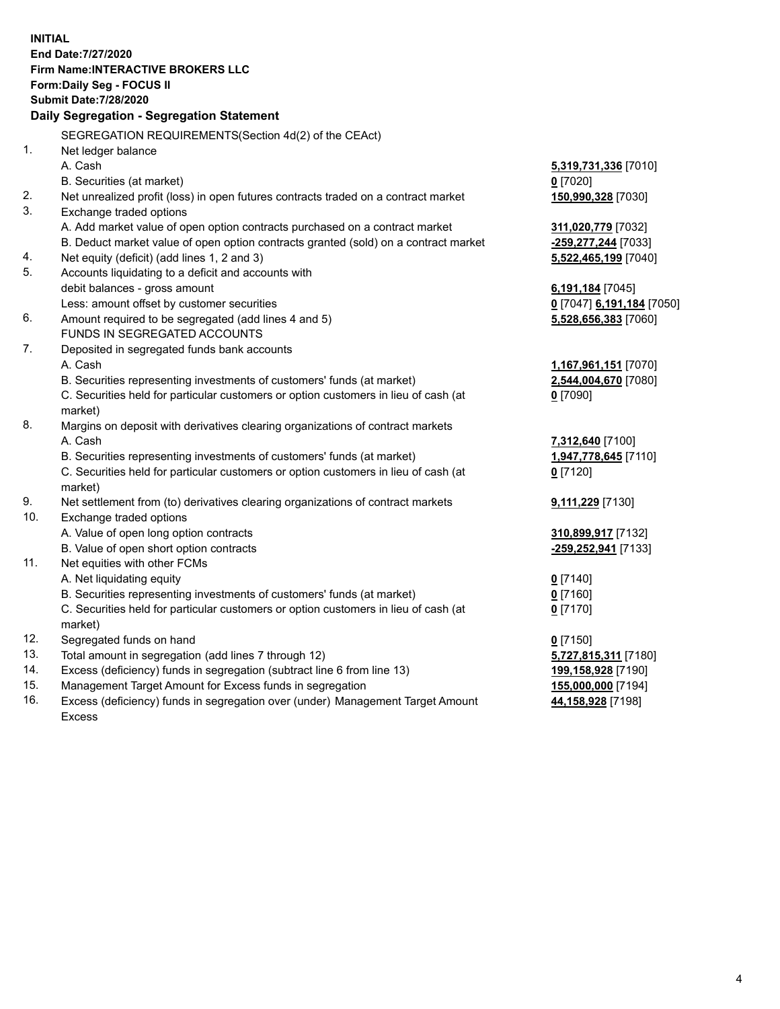**INITIAL End Date:7/27/2020 Firm Name:INTERACTIVE BROKERS LLC Form:Daily Seg - FOCUS II Submit Date:7/28/2020 Daily Segregation - Segregation Statement** SEGREGATION REQUIREMENTS(Section 4d(2) of the CEAct) 1. Net ledger balance A. Cash **5,319,731,336** [7010] B. Securities (at market) **0** [7020] 2. Net unrealized profit (loss) in open futures contracts traded on a contract market **150,990,328** [7030] 3. Exchange traded options A. Add market value of open option contracts purchased on a contract market **311,020,779** [7032] B. Deduct market value of open option contracts granted (sold) on a contract market **-259,277,244** [7033] 4. Net equity (deficit) (add lines 1, 2 and 3) **5,522,465,199** [7040] 5. Accounts liquidating to a deficit and accounts with debit balances - gross amount **6,191,184** [7045] Less: amount offset by customer securities **0** [7047] **6,191,184** [7050] 6. Amount required to be segregated (add lines 4 and 5) **5,528,656,383** [7060] FUNDS IN SEGREGATED ACCOUNTS 7. Deposited in segregated funds bank accounts A. Cash **1,167,961,151** [7070] B. Securities representing investments of customers' funds (at market) **2,544,004,670** [7080] C. Securities held for particular customers or option customers in lieu of cash (at market) **0** [7090] 8. Margins on deposit with derivatives clearing organizations of contract markets A. Cash **7,312,640** [7100] B. Securities representing investments of customers' funds (at market) **1,947,778,645** [7110] C. Securities held for particular customers or option customers in lieu of cash (at market) **0** [7120] 9. Net settlement from (to) derivatives clearing organizations of contract markets **9,111,229** [7130] 10. Exchange traded options A. Value of open long option contracts **310,899,917** [7132] B. Value of open short option contracts **-259,252,941** [7133] 11. Net equities with other FCMs A. Net liquidating equity **0** [7140] B. Securities representing investments of customers' funds (at market) **0** [7160] C. Securities held for particular customers or option customers in lieu of cash (at market) **0** [7170] 12. Segregated funds on hand **0** [7150] 13. Total amount in segregation (add lines 7 through 12) **5,727,815,311** [7180] 14. Excess (deficiency) funds in segregation (subtract line 6 from line 13) **199,158,928** [7190] 15. Management Target Amount for Excess funds in segregation **155,000,000** [7194]

16. Excess (deficiency) funds in segregation over (under) Management Target Amount Excess

**44,158,928** [7198]